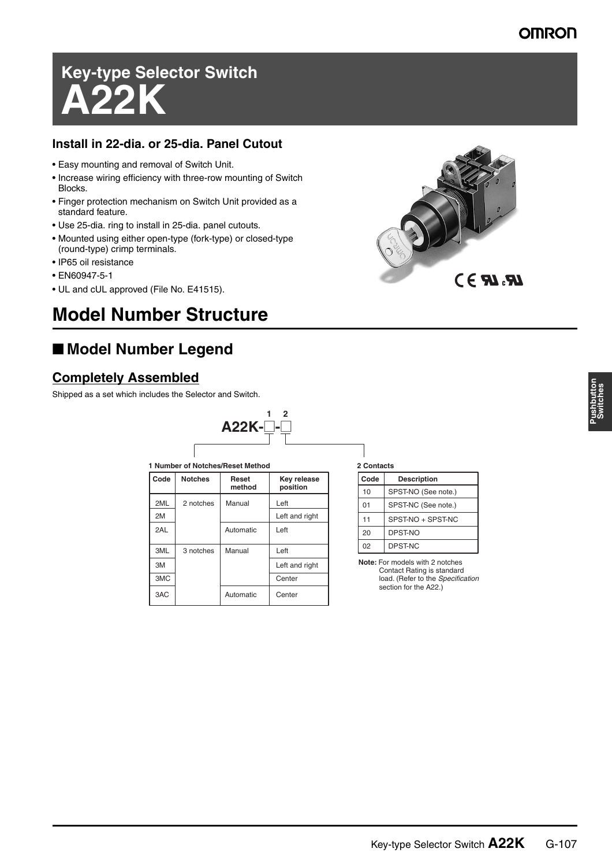# **Key-type Selector Switch A22K**

#### **Install in 22-dia. or 25-dia. Panel Cutout**

- Easy mounting and removal of Switch Unit.
- Increase wiring efficiency with three-row mounting of Switch Blocks.
- Finger protection mechanism on Switch Unit provided as a standard feature.
- Use 25-dia. ring to install in 25-dia. panel cutouts.
- Mounted using either open-type (fork-type) or closed-type (round-type) crimp terminals.
- IP65 oil resistance
- EN60947-5-1
- UL and cUL approved (File No. E41515).

## **Model Number Structure**

## ■ **Model Number Legend**

#### **Completely Assembled**

Shipped as a set which includes the Selector and Switch.



| 1 Number of Notches/Reset Method |                |                 |                         |  |  |
|----------------------------------|----------------|-----------------|-------------------------|--|--|
| Code                             | <b>Notches</b> | Reset<br>method | Key release<br>position |  |  |
| 2ML                              | 2 notches      | Manual          | Left                    |  |  |
| 2M                               |                |                 | Left and right          |  |  |
| 2AL                              |                | Automatic       | Left                    |  |  |
| 3ML                              | 3 notches      | Manual          | Left                    |  |  |
| 3M                               |                |                 | Left and right          |  |  |
| 3MC                              |                |                 | Center                  |  |  |
| 3AC                              |                | Automatic       | Center                  |  |  |

**2 Contacts**

| --------- |                     |  |  |  |
|-----------|---------------------|--|--|--|
| Code      | <b>Description</b>  |  |  |  |
| 10        | SPST-NO (See note.) |  |  |  |
| 01        | SPST-NC (See note.) |  |  |  |
| 11        | SPST-NO + SPST-NC   |  |  |  |
| 20        | DPST-NO             |  |  |  |
| 02        | DPST-NC             |  |  |  |

**Note:** For models with 2 notches Contact Rating is standard load. (Refer to the *Specification* section for the A22.)

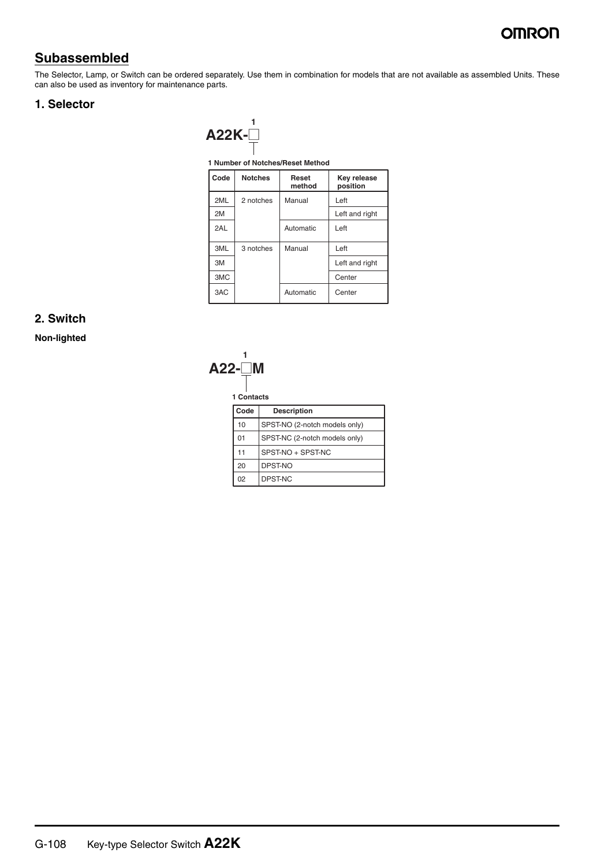### **OMROD**

### **Subassembled**

The Selector, Lamp, or Switch can be ordered separately. Use them in combination for models that are not available as assembled Units. These can also be used as inventory for maintenance parts.

#### **1. Selector**

| $A22K-$ |  |
|---------|--|

**1 Number of Notches/Reset Method**

| Code | <b>Notches</b> | Reset<br>method | Key release<br>position |
|------|----------------|-----------------|-------------------------|
| 2ML  | 2 notches      | Manual          | Left                    |
| 2M   |                |                 | Left and right          |
| 2AL  |                | Automatic       | Left                    |
| 3ML  | 3 notches      | Manual          | Left                    |
| 3M   |                |                 | Left and right          |
| 3MC  |                |                 | Center                  |
| 3AC  |                | Automatic       | Center                  |

#### **2. Switch**

**Non-lighted**



**1 Contacts**

| Code | <b>Description</b>            |
|------|-------------------------------|
| 10   | SPST-NO (2-notch models only) |
| 01   | SPST-NC (2-notch models only) |
| 11   | SPST-NO + SPST-NC             |
| 20   | DPST-NO                       |
| 02   | DPST-NC                       |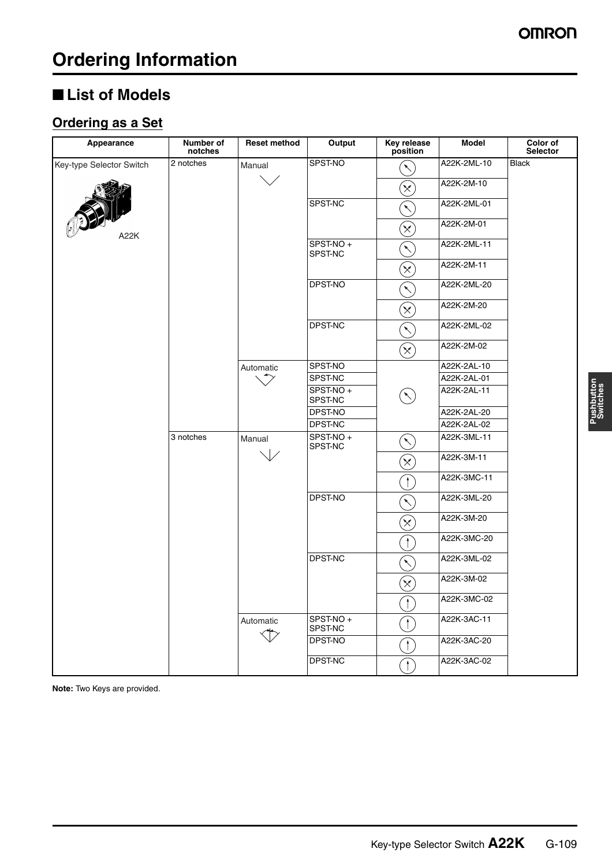## ■ **List of Models**

## **Ordering as a Set**

| Appearance               | Number of<br>notches | <b>Reset method</b> | Output              | <b>Key release</b><br>position | <b>Model</b> | Color of<br>Selector                  |
|--------------------------|----------------------|---------------------|---------------------|--------------------------------|--------------|---------------------------------------|
| Key-type Selector Switch | 2 notches            | Manual              | SPST-NO             | $\overline{\phantom{0}}$       | A22K-2ML-10  | <b>Black</b>                          |
|                          |                      |                     |                     | $\propto$                      | A22K-2M-10   |                                       |
|                          |                      |                     | SPST-NC             | $\overline{\phantom{0}}$       | A22K-2ML-01  |                                       |
| A22K                     |                      |                     |                     | $\left(\times\right)$          | A22K-2M-01   |                                       |
|                          |                      |                     | SPST-NO+<br>SPST-NC |                                | A22K-2ML-11  |                                       |
|                          |                      |                     |                     | $\propto$                      | A22K-2M-11   |                                       |
|                          |                      |                     | DPST-NO             | $\checkmark$                   | A22K-2ML-20  |                                       |
|                          |                      |                     |                     | $\left[ \times \right]$        | A22K-2M-20   |                                       |
|                          |                      |                     | DPST-NC             | $\overline{\phantom{0}}$       | A22K-2ML-02  |                                       |
|                          |                      |                     |                     | $\left(\times\right)$          | A22K-2M-02   |                                       |
|                          |                      | Automatic           | SPST-NO             |                                | A22K-2AL-10  |                                       |
|                          |                      |                     | SPST-NC             |                                | A22K-2AL-01  |                                       |
|                          |                      |                     | SPST-NO+<br>SPST-NC | $\checkmark$                   | A22K-2AL-11  |                                       |
|                          |                      |                     | DPST-NO             |                                | A22K-2AL-20  |                                       |
|                          |                      |                     | DPST-NC             |                                | A22K-2AL-02  |                                       |
|                          | 3 notches            | Manual              | SPST-NO+<br>SPST-NC | $\begin{matrix} \end{matrix}$  | A22K-3ML-11  |                                       |
|                          |                      |                     |                     | $\left[ \times \right]$        | A22K-3M-11   |                                       |
|                          |                      |                     |                     | $\ddagger$                     | A22K-3MC-11  |                                       |
|                          |                      |                     | DPST-NO             | ↖                              | A22K-3ML-20  |                                       |
|                          |                      |                     |                     | $\propto$                      | A22K-3M-20   |                                       |
|                          |                      |                     |                     | $\mathbf{f}$                   | A22K-3MC-20  |                                       |
|                          |                      |                     | DPST-NC             | $\overline{\phantom{0}}$       | A22K-3ML-02  |                                       |
|                          |                      |                     |                     | $\left[ \times \right]$        | A22K-3M-02   |                                       |
|                          |                      |                     |                     | $\uparrow$                     | A22K-3MC-02  |                                       |
|                          |                      | Automatic           | SPST-NO+<br>SPST-NC |                                | A22K-3AC-11  |                                       |
|                          |                      |                     |                     |                                | DPST-NO      | $\begin{array}{c} \hline \end{array}$ |
|                          |                      |                     | DPST-NC             | $\mathcal{L}$                  | A22K-3AC-02  |                                       |

**Note:** Two Keys are provided.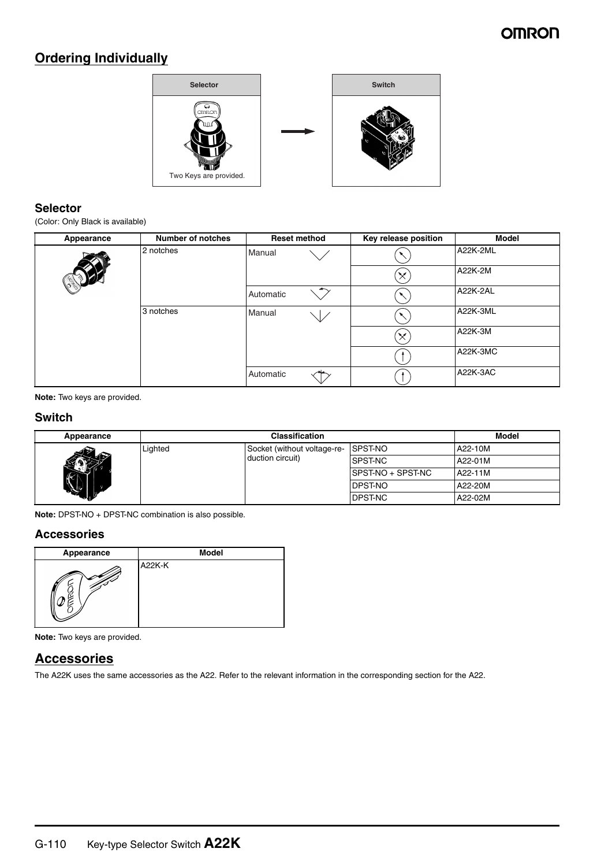### **OMRON**

### **Ordering Individually**



#### **Selector**

(Color: Only Black is available)

| Appearance | <b>Number of notches</b> |           | <b>Reset method</b>      | Key release position | <b>Model</b> |
|------------|--------------------------|-----------|--------------------------|----------------------|--------------|
|            | 2 notches                | Manual    |                          |                      | A22K-2ML     |
|            |                          |           |                          | $\times$             | A22K-2M      |
|            |                          | Automatic | $\overline{\phantom{a}}$ |                      | A22K-2AL     |
|            | 3 notches                | Manual    |                          |                      | A22K-3ML     |
|            |                          |           |                          | $\times$             | A22K-3M      |
|            |                          |           |                          |                      | A22K-3MC     |
|            |                          | Automatic |                          |                      | A22K-3AC     |

**Note:** Two keys are provided.

#### **Switch**

| Appearance |         | Model                               |                    |         |
|------------|---------|-------------------------------------|--------------------|---------|
|            | Lighted | Socket (without voltage-re- SPST-NO |                    | A22-10M |
| 452        |         | duction circuit)                    | <b>ISPST-NC</b>    | A22-01M |
|            |         |                                     | ISPST-NO + SPST-NC | A22-11M |
| <b>No.</b> |         |                                     | <b>IDPST-NO</b>    | A22-20M |
|            |         |                                     | <b>IDPST-NC</b>    | A22-02M |

**Note:** DPST-NO + DPST-NC combination is also possible.

#### **Accessories**

| Appearance | <b>Model</b> |
|------------|--------------|
|            | A22K-K       |

**Note:** Two keys are provided.

#### **Accessories**

The A22K uses the same accessories as the A22. Refer to the relevant information in the corresponding section for the A22.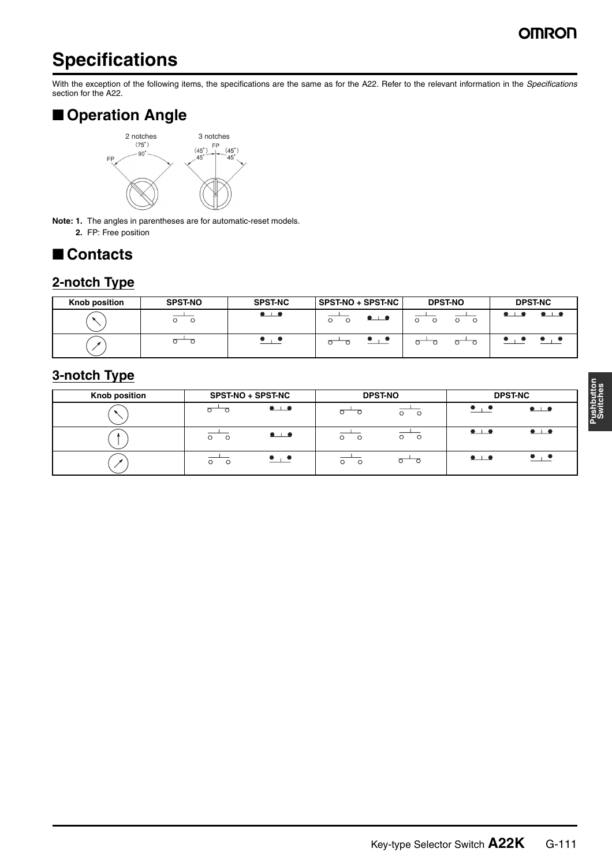### OMRO

## **Specifications**

With the exception of the following items, the specifications are the same as for the A22. Refer to the relevant information in the *Specifications* section for the A22.

## ■ **Operation Angle**



**Note: 1.** The angles in parentheses are for automatic-reset models. **2.** FP: Free position

## ■ **Contacts**

### **2-notch Type**

| Knob position | <b>SPST-NO</b> | <b>SPST-NC</b>                                     | SPST-NO + SPST-NC   | <b>DPST-NO</b> | <b>DPST-NC</b>      |
|---------------|----------------|----------------------------------------------------|---------------------|----------------|---------------------|
|               | O              | $\bullet\hspace{0.04cm}\bot\hspace{0.04cm}\bullet$ | $\bullet$ $\bullet$ | O<br>$\circ$   | $\bullet$ $\bullet$ |
|               |                |                                                    |                     |                |                     |

### **3-notch Type**

| <b>Knob position</b> | <b>SPST-NO + SPST-NC</b>                           | <b>DPST-NO</b>                        | <b>DPST-NC</b>                                                              |
|----------------------|----------------------------------------------------|---------------------------------------|-----------------------------------------------------------------------------|
|                      | $\bullet\hspace{0.02in}\bot\hspace{0.02in}\bullet$ | $\circ$<br>$\circ$                    | $\bullet$ , $\bullet$<br>$\bullet$                                          |
|                      | $\bullet$<br>O<br>$\circ$                          | $\circ$ $\circ$<br>$\circ$<br>$\circ$ | $\bullet$ $\bullet$<br>$\bullet$ $\bullet$                                  |
|                      | $\bullet$ $\bullet$<br>O<br>$\circ$                | $\circ$<br>$\circ$<br>$\circ$         | $\bullet$ , $\bullet$<br>$\bullet\hspace{0.04cm}\bot\hspace{0.04cm}\bullet$ |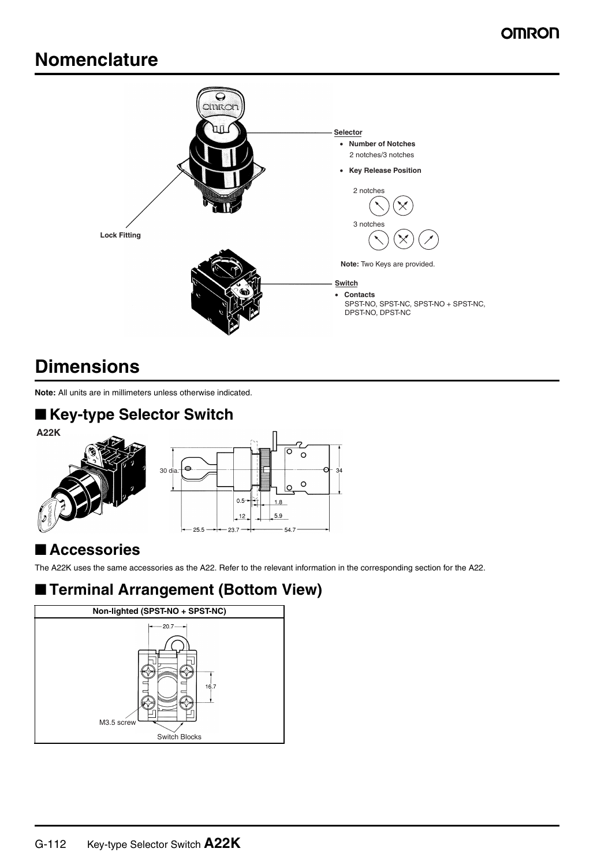## **Nomenclature**



## **Dimensions**

**Note:** All units are in millimeters unless otherwise indicated.

## ■ **Key-type Selector Switch**



## ■ **Accessories**

The A22K uses the same accessories as the A22. Refer to the relevant information in the corresponding section for the A22.

## ■ **Terminal Arrangement (Bottom View)**

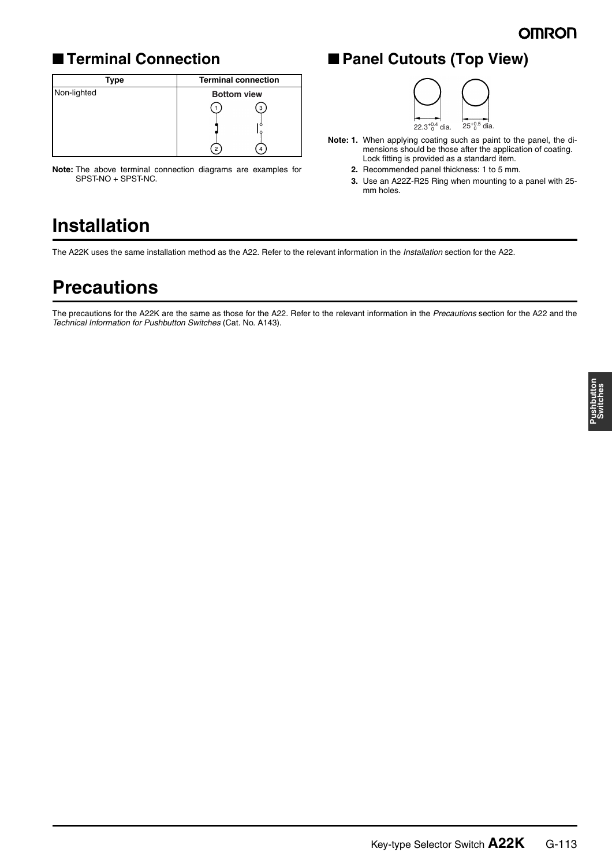## ■ **Terminal Connection**

| Type        | <b>Terminal connection</b> |
|-------------|----------------------------|
| Non-lighted | <b>Bottom view</b>         |
|             | з                          |
|             | с<br>$\mathcal{P}$         |

**Note:** The above terminal connection diagrams are examples for SPST-NO + SPST-NC.

## ■ **Panel Cutouts (Top View)**



- **Note: 1.** When applying coating such as paint to the panel, the dimensions should be those after the application of coating. Lock fitting is provided as a standard item.
	- **2.** Recommended panel thickness: 1 to 5 mm.
	- **3.** Use an A22Z-R25 Ring when mounting to a panel with 25 mm holes.

## **Installation**

The A22K uses the same installation method as the A22. Refer to the relevant information in the *Installation* section for the A22.

## **Precautions**

The precautions for the A22K are the same as those for the A22. Refer to the relevant information in the *Precautions* section for the A22 and the *Technical Information for Pushbutton Switches* (Cat. No. A143).